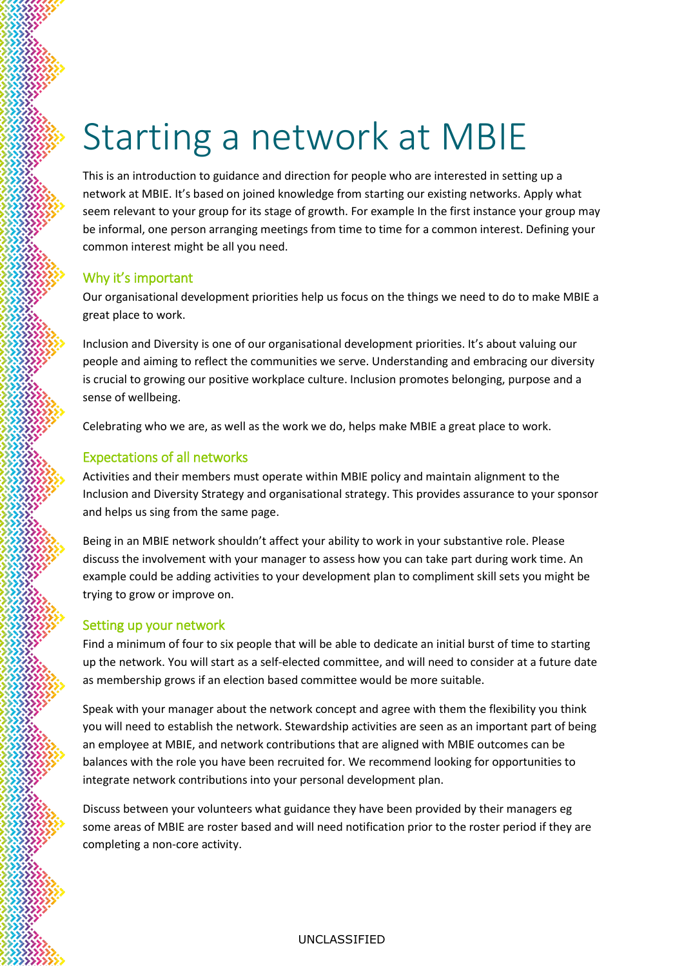# Starting a network at MBIE

This is an introduction to guidance and direction for people who are interested in setting up a network at MBIE. It's based on joined knowledge from starting our existing networks. Apply what seem relevant to your group for its stage of growth. For example In the first instance your group may be informal, one person arranging meetings from time to time for a common interest. Defining your common interest might be all you need.

## Why it's important

Our organisational development priorities help us focus on the things we need to do to make MBIE a great place to work.

Inclusion and Diversity is one of our organisational development priorities. It's about valuing our people and aiming to reflect the communities we serve. Understanding and embracing our diversity is crucial to growing our positive workplace culture. Inclusion promotes belonging, purpose and a sense of wellbeing.

Celebrating who we are, as well as the work we do, helps make MBIE a great place to work.

# Expectations of all networks

Activities and their members must operate within MBIE policy and maintain alignment to the Inclusion and Diversity Strategy and organisational strategy. This provides assurance to your sponsor and helps us sing from the same page.

Being in an MBIE network shouldn't affect your ability to work in your substantive role. Please discuss the involvement with your manager to assess how you can take part during work time. An example could be adding activities to your development plan to compliment skill sets you might be trying to grow or improve on.

## Setting up your network

Find a minimum of four to six people that will be able to dedicate an initial burst of time to starting up the network. You will start as a self-elected committee, and will need to consider at a future date as membership grows if an election based committee would be more suitable.

Speak with your manager about the network concept and agree with them the flexibility you think you will need to establish the network. Stewardship activities are seen as an important part of being an employee at MBIE, and network contributions that are aligned with MBIE outcomes can be balances with the role you have been recruited for. We recommend looking for opportunities to integrate network contributions into your personal development plan.

Discuss between your volunteers what guidance they have been provided by their managers eg some areas of MBIE are roster based and will need notification prior to the roster period if they are completing a non-core activity.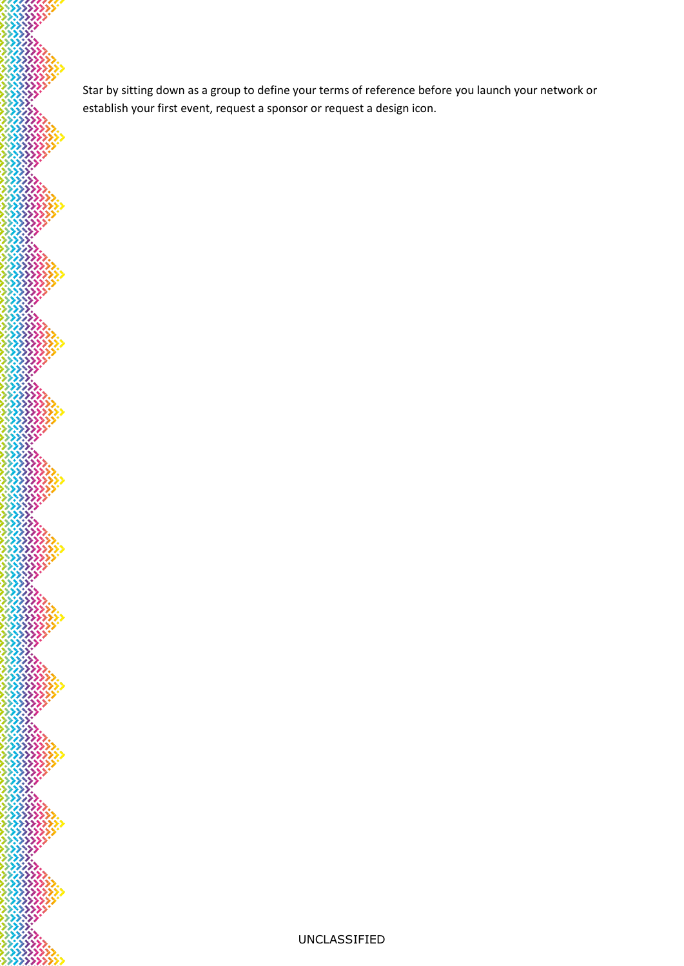Star by sitting down as a group to define your terms of reference before you launch your network or establish your first event, request a sponsor or request a design icon.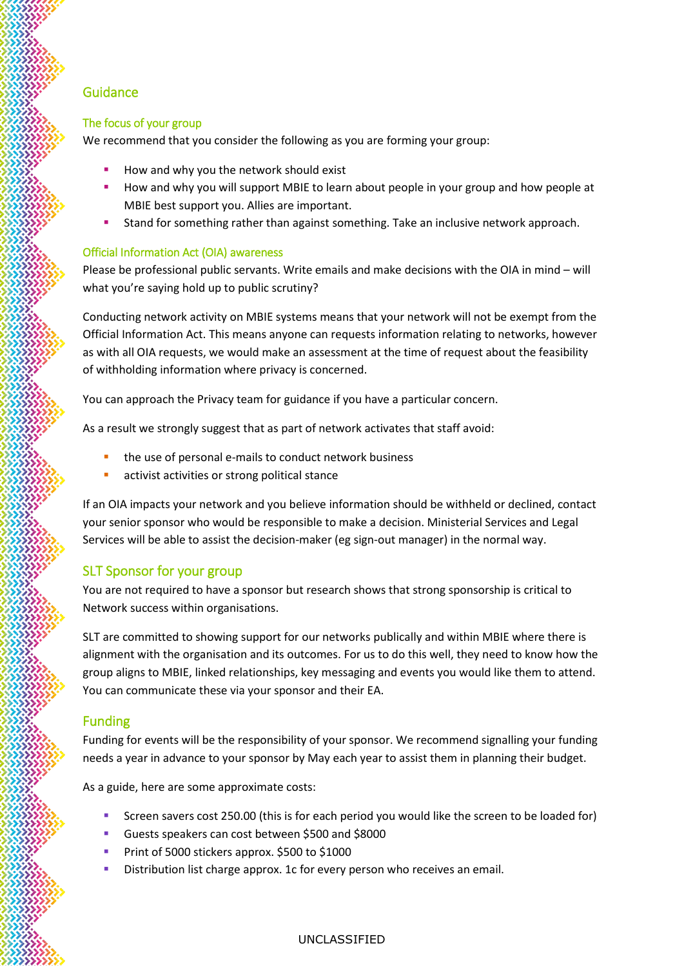## **Guidance**

#### The focus of your group

We recommend that you consider the following as you are forming your group:

- How and why you the network should exist
- **■** How and why you will support MBIE to learn about people in your group and how people at MBIE best support you. Allies are important.
- Stand for something rather than against something. Take an inclusive network approach.

#### Official Information Act (OIA) awareness

Please be professional public servants. Write emails and make decisions with the OIA in mind – will what you're saying hold up to public scrutiny?

Conducting network activity on MBIE systems means that your network will not be exempt from the Official Information Act. This means anyone can requests information relating to networks, however as with all OIA requests, we would make an assessment at the time of request about the feasibility of withholding information where privacy is concerned.

You can approach the Privacy team for guidance if you have a particular concern.

As a result we strongly suggest that as part of network activates that staff avoid:

- the use of personal e-mails to conduct network business
- activist activities or strong political stance

If an OIA impacts your network and you believe information should be withheld or declined, contact your senior sponsor who would be responsible to make a decision. Ministerial Services and Legal Services will be able to assist the decision-maker (eg sign-out manager) in the normal way.

## SLT Sponsor for your group

You are not required to have a sponsor but research shows that strong sponsorship is critical to Network success within organisations.

SLT are committed to showing support for our networks publically and within MBIE where there is alignment with the organisation and its outcomes. For us to do this well, they need to know how the group aligns to MBIE, linked relationships, key messaging and events you would like them to attend. You can communicate these via your sponsor and their EA.

## Funding

Funding for events will be the responsibility of your sponsor. We recommend signalling your funding needs a year in advance to your sponsor by May each year to assist them in planning their budget.

As a guide, here are some approximate costs:

- Screen savers cost 250.00 (this is for each period you would like the screen to be loaded for)
- **■** Guests speakers can cost between \$500 and \$8000
- **Print of 5000 stickers approx. \$500 to \$1000**
- Distribution list charge approx. 1c for every person who receives an email.

#### UNCLASSIFIED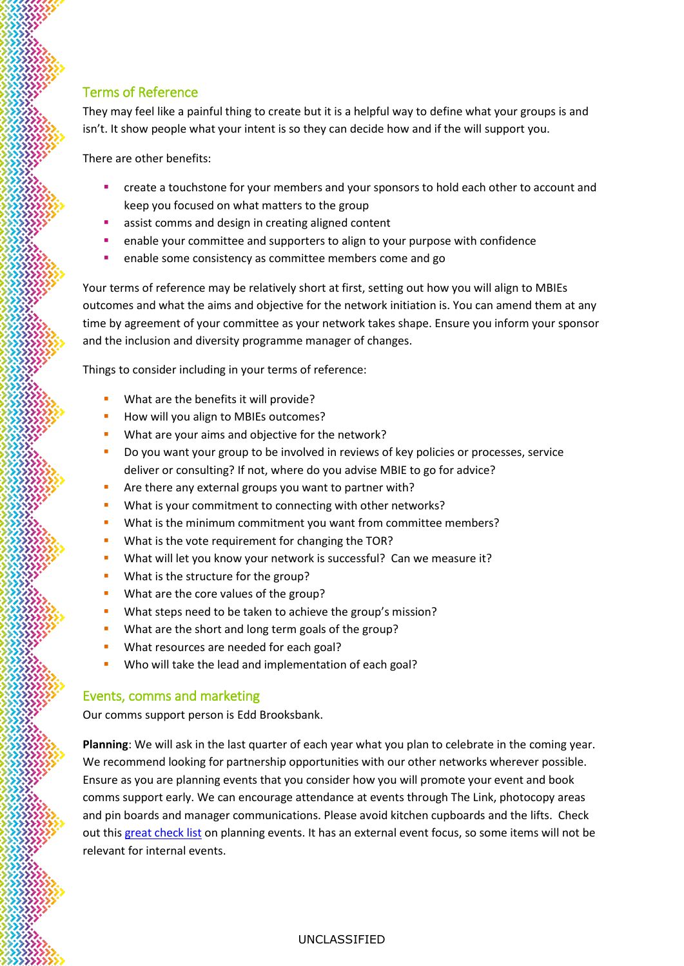# Terms of Reference

They may feel like a painful thing to create but it is a helpful way to define what your groups is and isn't. It show people what your intent is so they can decide how and if the will support you.

There are other benefits:

- create a touchstone for your members and your sponsors to hold each other to account and keep you focused on what matters to the group
- assist comms and design in creating aligned content
- **EXEC** enable your committee and supporters to align to your purpose with confidence
- enable some consistency as committee members come and go

Your terms of reference may be relatively short at first, setting out how you will align to MBIEs outcomes and what the aims and objective for the network initiation is. You can amend them at any time by agreement of your committee as your network takes shape. Ensure you inform your sponsor and the inclusion and diversity programme manager of changes.

Things to consider including in your terms of reference:

- What are the benefits it will provide?
- How will you align to MBIEs outcomes?
- What are your aims and objective for the network?
- **•** Do you want your group to be involved in reviews of key policies or processes, service deliver or consulting? If not, where do you advise MBIE to go for advice?
- Are there any external groups you want to partner with?
- What is your commitment to connecting with other networks?
- **•** What is the minimum commitment you want from committee members?
- What is the vote requirement for changing the TOR?
- What will let you know your network is successful? Can we measure it?
- What is the structure for the group?
- **What are the core values of the group?**
- What steps need to be taken to achieve the group's mission?
- What are the short and long term goals of the group?
- **■** What resources are needed for each goal?
- Who will take the lead and implementation of each goal?

# Events, comms and marketing

Our comms support person is Edd Brooksbank.

**Planning**: We will ask in the last quarter of each year what you plan to celebrate in the coming year. We recommend looking for partnership opportunities with our other networks wherever possible. Ensure as you are planning events that you consider how you will promote your event and book comms support early. We can encourage attendance at events through The Link, photocopy areas and pin boards and manager communications. Please avoid kitchen cupboards and the lifts. Check out thi[s great check list](https://www.eventbrite.com/blog/foolproof-event-planning-checklist-ds00/) on planning events. It has an external event focus, so some items will not be relevant for internal events.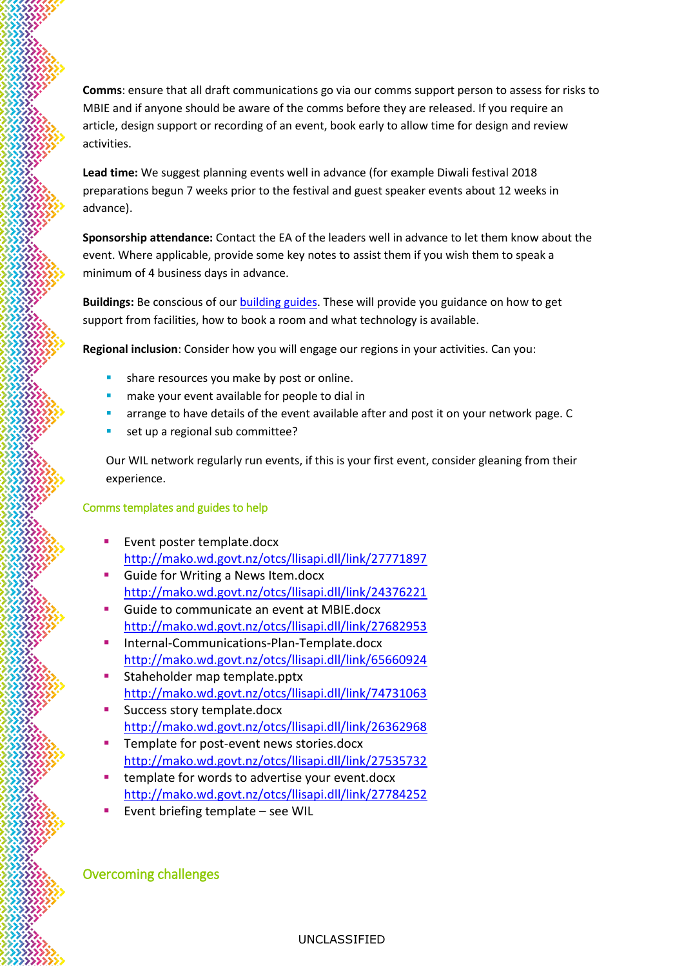**Comms**: ensure that all draft communications go via our comms support person to assess for risks to MBIE and if anyone should be aware of the comms before they are released. If you require an article, design support or recording of an event, book early to allow time for design and review activities.

**Lead time:** We suggest planning events well in advance (for example Diwali festival 2018 preparations begun 7 weeks prior to the festival and guest speaker events about 12 weeks in advance).

**Sponsorship attendance:** Contact the EA of the leaders well in advance to let them know about the event. Where applicable, provide some key notes to assist them if you wish them to speak a minimum of 4 business days in advance.

**Buildings:** Be conscious of ou[r building guides.](http://thelink/how/Pages/find-out-about-building-facilities.aspx) These will provide you guidance on how to get support from facilities, how to book a room and what technology is available.

**Regional inclusion**: Consider how you will engage our regions in your activities. Can you:

- share resources you make by post or online.
- make your event available for people to dial in
- arrange to have details of the event available after and post it on your network page. C
- set up a regional sub committee?

Our WIL network regularly run events, if this is your first event, consider gleaning from their experience.

#### Comms templates and guides to help

- Event poster template.docx <http://mako.wd.govt.nz/otcs/llisapi.dll/link/27771897>
- Guide for Writing a News Item.docx <http://mako.wd.govt.nz/otcs/llisapi.dll/link/24376221>
- Guide to communicate an event at MBIE.docx <http://mako.wd.govt.nz/otcs/llisapi.dll/link/27682953>
- Internal-Communications-Plan-Template.docx <http://mako.wd.govt.nz/otcs/llisapi.dll/link/65660924>
- Staheholder map template.pptx <http://mako.wd.govt.nz/otcs/llisapi.dll/link/74731063>
- **E** Success story template.docx <http://mako.wd.govt.nz/otcs/llisapi.dll/link/26362968>
- Template for post-event news stories.docx <http://mako.wd.govt.nz/otcs/llisapi.dll/link/27535732>
- template for words to advertise your event.docx <http://mako.wd.govt.nz/otcs/llisapi.dll/link/27784252>
- Event briefing template see WIL

Overcoming challenges

UNCLASSIFIED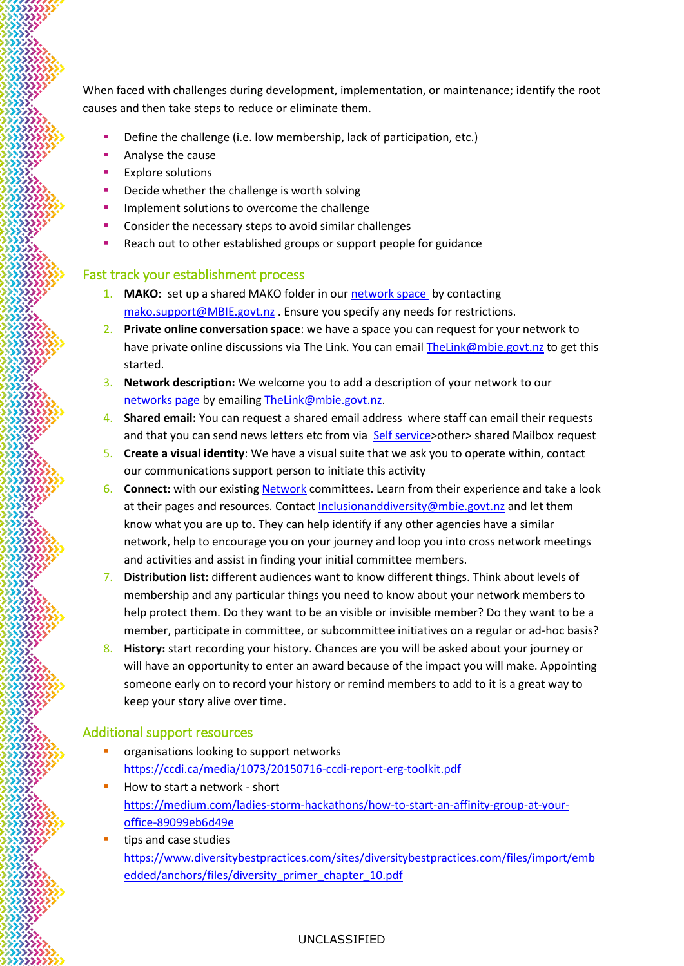When faced with challenges during development, implementation, or maintenance; identify the root causes and then take steps to reduce or eliminate them.

- Define the challenge (i.e. low membership, lack of participation, etc.)
- Analyse the cause
- Explore solutions
- Decide whether the challenge is worth solving
- **·** Implement solutions to overcome the challenge
- Consider the necessary steps to avoid similar challenges
- Reach out to other established groups or support people for guidance

#### Fast track your establishment process

- 1. MAKO: set up a shared MAKO folder in ou[r network space](http://mako.wd.govt.nz/otcs/llisapi.dll?func=ll&objId=24750287&objAction=browse&sort=name) by contacting [mako.support@MBIE.govt.nz](mailto:mako.support@MBIE.govt.nz) . Ensure you specify any needs for restrictions.
- 2. **Private online conversation space**: we have a space you can request for your network to have private online discussions via The Link. You can email [TheLink@mbie.govt.nz](mailto:TheLink@mbie.govt.nz) to get this started.
- 3. **Network description:** We welcome you to add a description of your network to our [networks page](http://thelink/about-mbie/inclusion-and-diversity/networks) by emailing [TheLink@mbie.govt.nz.](mailto:TheLink@mbie.govt.nz)
- 4. **Shared email:** You can request a shared email address where staff can email their requests and that you can send news letters etc from via [Self service>](https://ictselfservice.wd.govt.nz/activate/)other> shared Mailbox request
- 5. **Create a visual identity**: We have a visual suite that we ask you to operate within, contact our communications support person to initiate this activity
- 6. **Connect:** with our existing **Network** committees. Learn from their experience and take a look at their pages and resources. Contact [Inclusionanddiversity@mbie.govt.nz](mailto:Inclusionanddiversity@mbie.govt.nz) and let them know what you are up to. They can help identify if any other agencies have a similar network, help to encourage you on your journey and loop you into cross network meetings and activities and assist in finding your initial committee members.
- 7. **Distribution list:** different audiences want to know different things. Think about levels of membership and any particular things you need to know about your network members to help protect them. Do they want to be an visible or invisible member? Do they want to be a member, participate in committee, or subcommittee initiatives on a regular or ad-hoc basis?
- 8. **History:** start recording your history. Chances are you will be asked about your journey or will have an opportunity to enter an award because of the impact you will make. Appointing someone early on to record your history or remind members to add to it is a great way to keep your story alive over time.

#### Additional support resources

- organisations looking to support networks <https://ccdi.ca/media/1073/20150716-ccdi-report-erg-toolkit.pdf>
- How to start a network short [https://medium.com/ladies-storm-hackathons/how-to-start-an-affinity-group-at-your](https://medium.com/ladies-storm-hackathons/how-to-start-an-affinity-group-at-your-office-89099eb6d49e)[office-89099eb6d49e](https://medium.com/ladies-storm-hackathons/how-to-start-an-affinity-group-at-your-office-89099eb6d49e)
- tips and case studies [https://www.diversitybestpractices.com/sites/diversitybestpractices.com/files/import/emb](https://www.diversitybestpractices.com/sites/diversitybestpractices.com/files/import/embedded/anchors/files/diversity_primer_chapter_10.pdf) [edded/anchors/files/diversity\\_primer\\_chapter\\_10.pdf](https://www.diversitybestpractices.com/sites/diversitybestpractices.com/files/import/embedded/anchors/files/diversity_primer_chapter_10.pdf)

UNCLASSIFIED